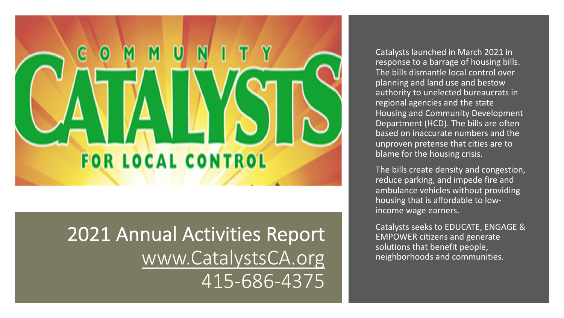

2021 Annual Activities Report www.CatalystsCA.org 415-686-4375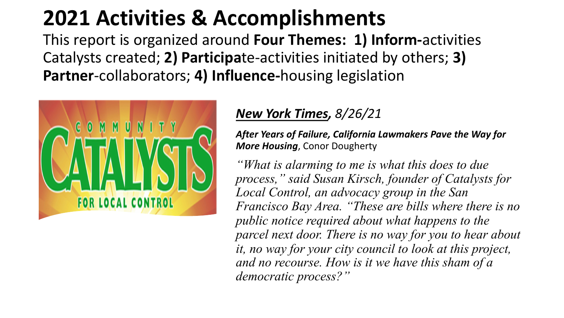# **2021 Activities & Accomplishment**

This report is organized around Four Themes: 1 Catalysts created; 2) Participate-activities initiat **Partner-collaborators; 4) Influence-housing legions** 



#### *New York Times, 8/26/21*

**After Years of Failure, Califor More Housing, Conor Dough** 

*"What is alarming to m process," said Susan Ki*  $Local$  Control, an advoc *Francisco Bay Area.* "The public notice required a *parcel next door. There it, no way for your city d and no recourse. How is democratic process?"*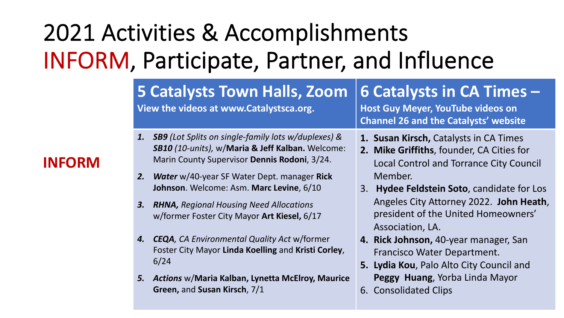# 2021 Activities & Accomplishments INFORM, Participate, Partner, and Influence

#### **5 Catalysts Town Halls, Zoom View the videos at www.Catalystsca.org. 6 Catalysts in CA Times – Host Guy Meyer, YouTube videos on Channel 26 and the Catalysts' website** *1. SB9 (Lot Splits on single-family lots w/duplexes) & SB10 (10-units),* w/**Maria & Jeff Kalban.** Welcome: Marin County Supervisor **Dennis Rodoni**, 3/24. **1. Susan Kirsch,** Catalysts in CA Times **2. Mike Griffiths**, founder, CA Cities for Local Control and Torrance City Council Member.

- *2. Water* w/40-year SF Water Dept. manager **Rick Johnson**. Welcome: Asm. **Marc Levine**, 6/10
- *3. RHNA, Regional Housing Need Allocations*  w/former Foster City Mayor **Art Kiesel,** 6/17
- *4. CEQA, CA Environmental Quality Act* w/former Foster City Mayor **Linda Koelling** and **Kristi Corley**, 6/24
- *5. Actions* w/**Maria Kalban, Lynetta McElroy, Maurice Green,** and **Susan Kirsch**, 7/1
- 3. **Hydee Feldstein Soto**, candidate for Los Angeles City Attorney 2022. **John Heath**, president of the United Homeowners' Association, LA.
- **4. Rick Johnson,** 40-year manager, San Francisco Water Department.
- **5. Lydia Kou**, Palo Alto City Council and **Peggy Huang**, Yorba Linda Mayor
- 6. Consolidated Clips

#### **INFORM**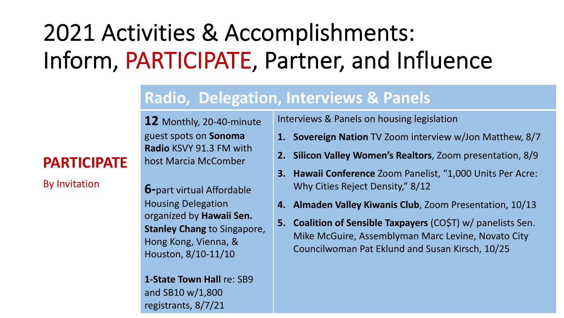# 2021 Activities & Accomplishments: Inform, PARTICIPATE, Partner, and Influence

#### **Radio, Delegation, Interviews & Panels**

**12** Monthly, 20-40-minute guest spots on **Sonoma Radio** KSVY 91.3 FM with host Marcia McComber

#### **PARTICIPATE**

By Invitation

**6-**part virtual Affordable Housing Delegation organized by **Hawaii Sen. Stanley Chang** to Singapore, Hong Kong, Vienna, & Houston, 8/10-11/10

**1-State Town Hall** re: SB9 and SB10 w/1,800 registrants, 8/7/21

Interviews & Panels on housing legislation

- **1. Sovereign Nation** TV Zoom interview w/Jon Matthew, 8/7
- **2. Silicon Valley Women's Realtors**, Zoom presentation, 8/9
- **3. Hawaii Conference** Zoom Panelist, "1,000 Units Per Acre: Why Cities Reject Density," 8/12
- **4. Almaden Valley Kiwanis Club**, Zoom Presentation, 10/13
- **5. Coalition of Sensible Taxpayers** (CO\$T) w/ panelists Sen. Mike McGuire, Assemblyman Marc Levine, Novato City Councilwoman Pat Eklund and Susan Kirsch, 10/25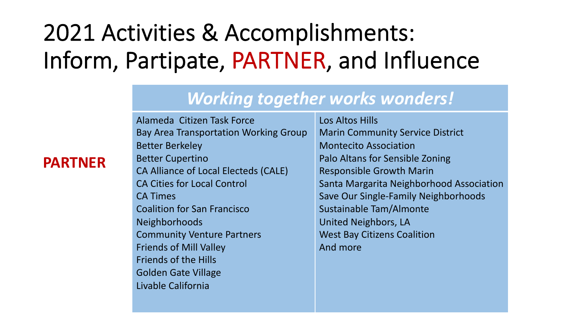## 2021 Activities & Accomplishments: Inform, Partipate, PARTNER, and Influence

#### *Working together works wonders!*

Alameda Citizen Task Force Bay Area Transportation Working Group Better Berkeley

- Better Cupertino CA Alliance of Local Electeds (CALE) CA Cities for Local Control CA Times Coalition for San Francisco Neighborhoods Community Venture Partners Friends of Mill Valley
- Friends of the Hills
- Golden Gate Village
- Livable California

Los Altos Hills Marin Community Service District Montecito Association Palo Altans for Sensible Zoning Responsible Growth Marin Santa Margarita Neighborhood Association Save Our Single-Family Neighborhoods Sustainable Tam/Almonte United Neighbors, LA West Bay Citizens Coalition And more

#### **PARTNER**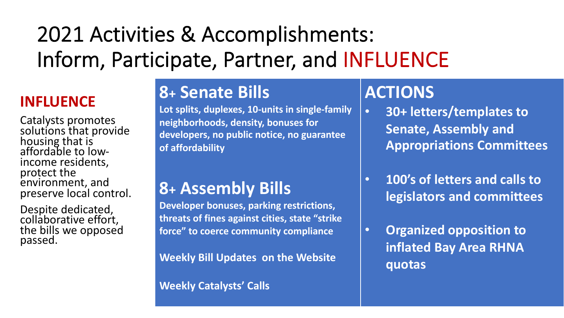## 2021 Activities & Accomplishments: Inform, Participate, Partner, and INFLUENCE

#### **INFLUENCE**

Catalysts promotes solutions that provide housing that is affordable to low-<br>income residents, income residents,<br>protect the environment, and preserve local control.

Despite dedicated, collaborative effort, the bills we opposed passed.

## **8+ Senate Bills**

**Lot splits, duplexes, 10-units in single-family neighborhoods, density, bonuses for developers, no public notice, no guarantee of affordability**

### **8+ Assembly Bills**

**Developer bonuses, parking restrictions, threats of fines against cities, state "strike force" to coerce community compliance**

**Weekly Bill Updates on the Website**

#### **Weekly Catalysts' Calls**

### **ACTIONS**

- **30+ letters/templates to Senate, Assembly and Appropriations Committees**
- **100's of letters and calls to legislators and committees**
- **Organized opposition to inflated Bay Area RHNA quotas**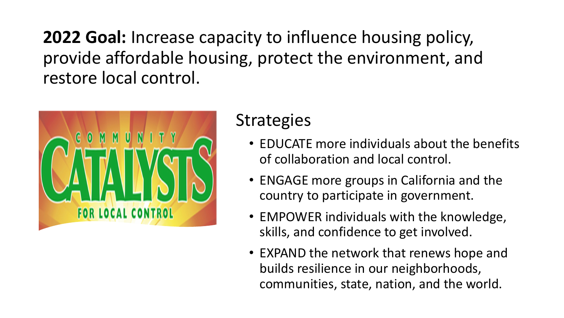**2022 Goal:** Increase capacity to influence housing policy, provide affordable housing, protect the environment, and restore local control.



### **Strategies**

- EDUCATE more individuals about the benefits of collaboration and local control.
- ENGAGE more groups in California and the country to participate in government.
- EMPOWER individuals with the knowledge, skills, and confidence to get involved.
- EXPAND the network that renews hope and builds resilience in our neighborhoods, communities, state, nation, and the world.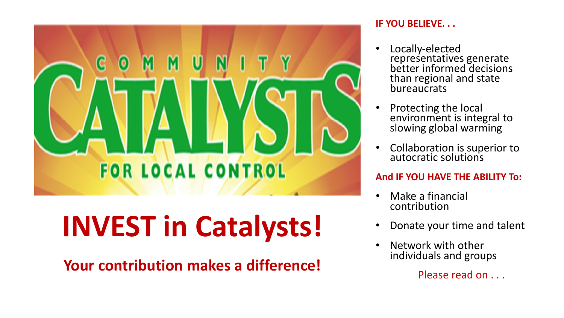

# **INVEST in Catalysts!**

**Your contribution makes a difference!**

#### **IF YOU BELIEVE. . .**

- Locally-elected representatives generate better informed decisions than regional and state bureaucrats
- Protecting the local environment is integral to slowing global warming
- Collaboration is superior to autocratic solutions

#### **And IF YOU HAVE THE ABILITY To:**

- Make a financial contribution
- Donate your time and talent
- Network with other individuals and groups

Please read on . . .